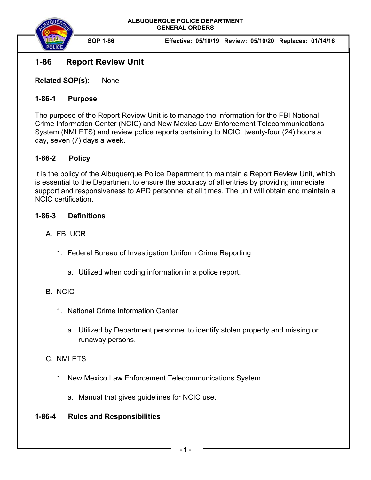

**SOP 1-86 Effective: 05/10/19 Review: 05/10/20 Replaces: 01/14/16** 

# **1-86 Report Review Unit**

**Related SOP(s):** None

### **1-86-1 Purpose**

The purpose of the Report Review Unit is to manage the information for the FBI National Crime Information Center (NCIC) and New Mexico Law Enforcement Telecommunications System (NMLETS) and review police reports pertaining to NCIC, twenty-four (24) hours a day, seven (7) days a week.

## **1-86-2 Policy**

It is the policy of the Albuquerque Police Department to maintain a Report Review Unit, which is essential to the Department to ensure the accuracy of all entries by providing immediate support and responsiveness to APD personnel at all times. The unit will obtain and maintain a NCIC certification.

#### **1-86-3 Definitions**

- A. FBI UCR
	- 1. Federal Bureau of Investigation Uniform Crime Reporting
		- a. Utilized when coding information in a police report.

## B. NCIC

- 1. National Crime Information Center
	- a. Utilized by Department personnel to identify stolen property and missing or runaway persons.

## C. NMLETS

- 1. New Mexico Law Enforcement Telecommunications System
	- a. Manual that gives guidelines for NCIC use.

## **1-86-4 Rules and Responsibilities**

**- 1 -**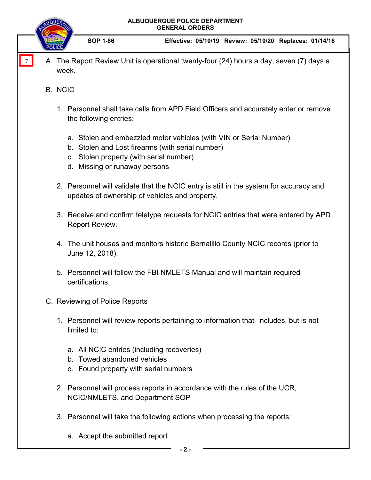